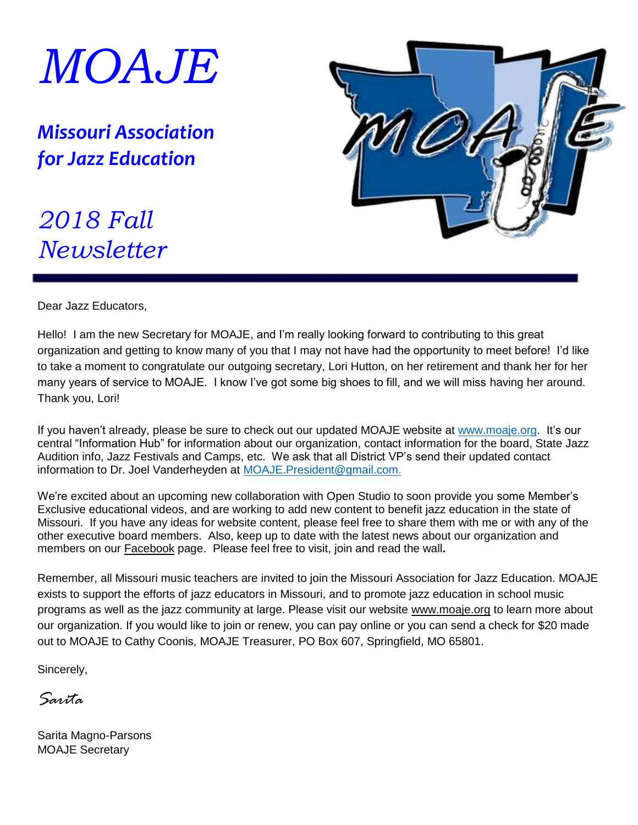

*Missouri Association for Jazz Education*



## *2018 Fall Newsletter*

Dear Jazz Educators,

Hello! I am the new Secretary for MOAJE, and I'm really looking forward to contributing to this great organization and getting to know many of you that I may not have had the opportunity to meet before! I'd like to take a moment to congratulate our outgoing secretary, Lori Hutton, on her retirement and thank her for her many years of service to MOAJE. I know I've got some big shoes to fill, and we will miss having her around. Thank you, Lori!

If you haven't already, please be sure to check out our updated MOAJE website at [www.moaje.org.](http://www.moaje.org/) It's our central "Information Hub" for information about our organization, contact information for the board, State Jazz Audition info, Jazz Festivals and Camps, etc. We ask that all District VP's send their updated contact information to Dr. Joel Vanderheyden at [MOAJE.President@gmail.com.](mailto:MOAJE.President@gmail.com)

We're excited about an upcoming new collaboration with Open Studio to soon provide you some Member's Exclusive educational videos, and are working to add new content to benefit jazz education in the state of Missouri. If you have any ideas for website content, please feel free to share them with me or with any of the other executive board members. Also, keep up to date with the latest news about our organization and members on our Facebook page. Please feel free to visit, join and read the wall**.**

Remember, all Missouri music teachers are invited to join the Missouri Association for Jazz Education. MOAJE exists to support the efforts of jazz educators in Missouri, and to promote jazz education in school music programs as well as the jazz community at large. Please visit our website www.moaje.org to learn more about our organization. If you would like to join or renew, you can pay online or you can send a check for \$20 made out to MOAJE to Cathy Coonis, MOAJE Treasurer, PO Box 607, Springfield, MO 65801.

Sincerely,

*Sarita*

Sarita Magno-Parsons MOAJE Secretary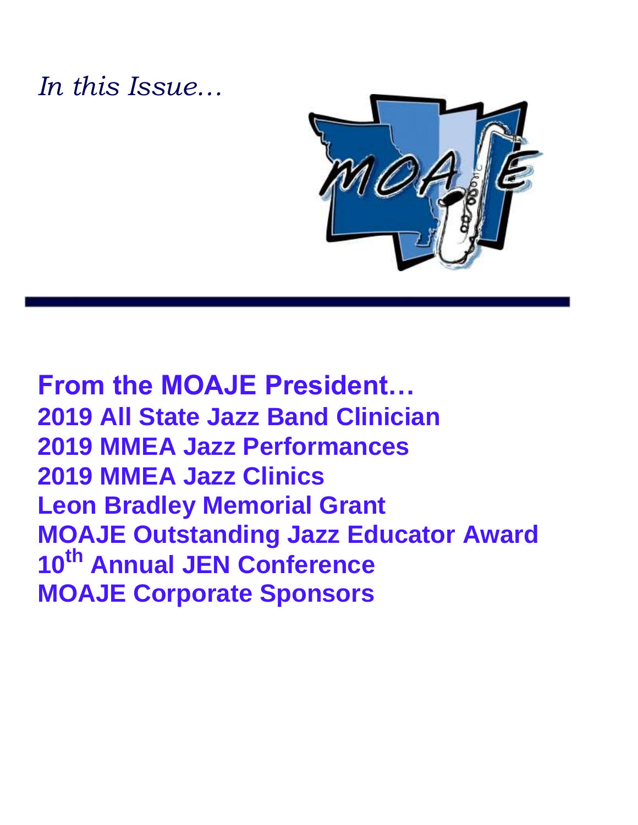### *In this Issue…*



**From the MOAJE President… 2019 All State Jazz Band Clinician 2019 MMEA Jazz Performances 2019 MMEA Jazz Clinics Leon Bradley Memorial Grant MOAJE Outstanding Jazz Educator Award 10th Annual JEN Conference MOAJE Corporate Sponsors**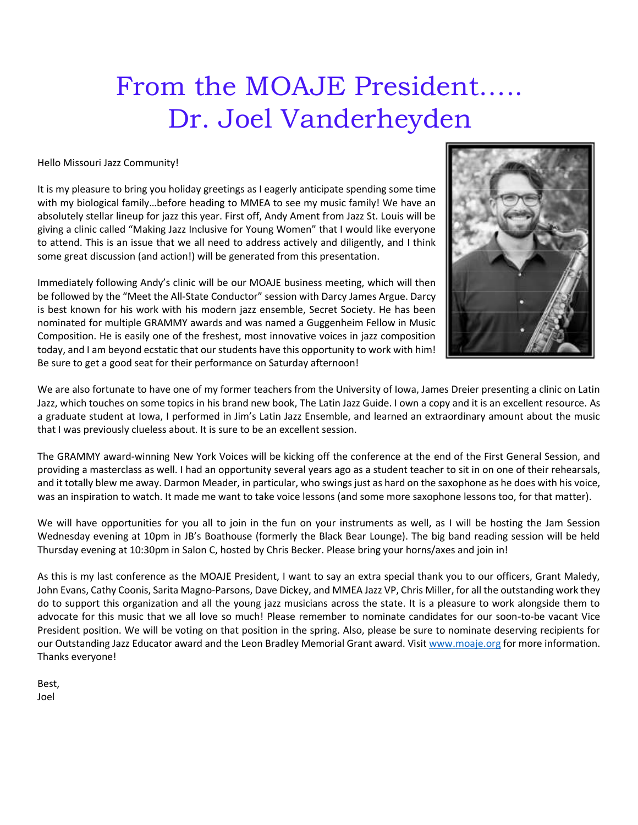# From the MOAJE President….. Dr. Joel Vanderheyden

Hello Missouri Jazz Community!

It is my pleasure to bring you holiday greetings as I eagerly anticipate spending some time with my biological family…before heading to MMEA to see my music family! We have an absolutely stellar lineup for jazz this year. First off, Andy Ament from Jazz St. Louis will be giving a clinic called "Making Jazz Inclusive for Young Women" that I would like everyone to attend. This is an issue that we all need to address actively and diligently, and I think some great discussion (and action!) will be generated from this presentation.

Immediately following Andy's clinic will be our MOAJE business meeting, which will then be followed by the "Meet the All-State Conductor" session with Darcy James Argue. Darcy is best known for his work with his modern jazz ensemble, Secret Society. He has been nominated for multiple GRAMMY awards and was named a Guggenheim Fellow in Music Composition. He is easily one of the freshest, most innovative voices in jazz composition today, and I am beyond ecstatic that our students have this opportunity to work with him! Be sure to get a good seat for their performance on Saturday afternoon!



We are also fortunate to have one of my former teachers from the University of Iowa, James Dreier presenting a clinic on Latin Jazz, which touches on some topics in his brand new book, The Latin Jazz Guide. I own a copy and it is an excellent resource. As a graduate student at Iowa, I performed in Jim's Latin Jazz Ensemble, and learned an extraordinary amount about the music that I was previously clueless about. It is sure to be an excellent session.

The GRAMMY award-winning New York Voices will be kicking off the conference at the end of the First General Session, and providing a masterclass as well. I had an opportunity several years ago as a student teacher to sit in on one of their rehearsals, and it totally blew me away. Darmon Meader, in particular, who swings just as hard on the saxophone as he does with his voice, was an inspiration to watch. It made me want to take voice lessons (and some more saxophone lessons too, for that matter).

We will have opportunities for you all to join in the fun on your instruments as well, as I will be hosting the Jam Session Wednesday evening at 10pm in JB's Boathouse (formerly the Black Bear Lounge). The big band reading session will be held Thursday evening at 10:30pm in Salon C, hosted by Chris Becker. Please bring your horns/axes and join in!

As this is my last conference as the MOAJE President, I want to say an extra special thank you to our officers, Grant Maledy, John Evans, Cathy Coonis, Sarita Magno-Parsons, Dave Dickey, and MMEA Jazz VP, Chris Miller, for all the outstanding work they do to support this organization and all the young jazz musicians across the state. It is a pleasure to work alongside them to advocate for this music that we all love so much! Please remember to nominate candidates for our soon-to-be vacant Vice President position. We will be voting on that position in the spring. Also, please be sure to nominate deserving recipients for our Outstanding Jazz Educator award and the Leon Bradley Memorial Grant award. Visit [www.moaje.org](http://www.moaje.org/) for more information. Thanks everyone!

Best, Joel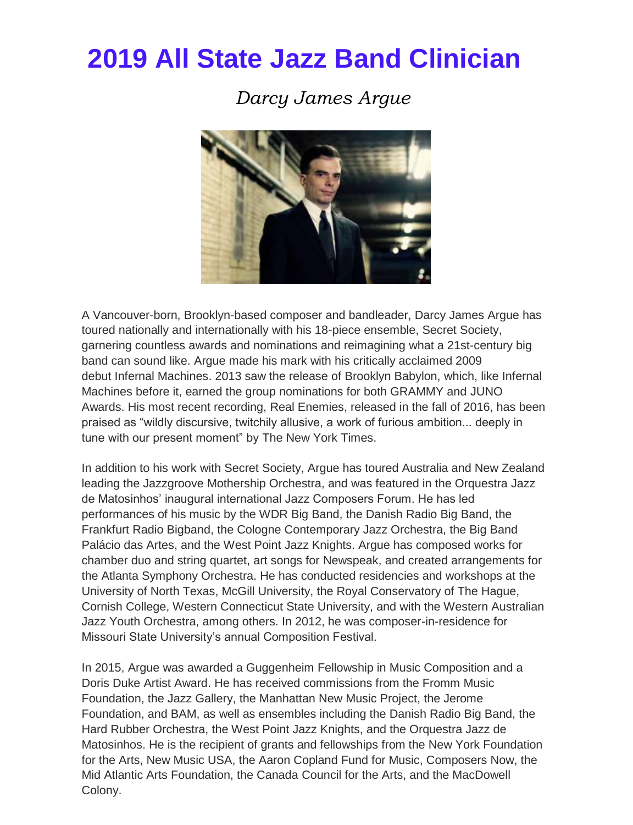## **2019 All State Jazz Band Clinician**

### *Darcy James Argue*



A Vancouver-born, Brooklyn-based composer and bandleader, Darcy James Argue has toured nationally and internationally with his 18-piece ensemble, Secret Society, garnering countless awards and nominations and reimagining what a 21st-century big band can sound like. Argue made his mark with his critically acclaimed 2009 debut Infernal Machines. 2013 saw the release of Brooklyn Babylon, which, like Infernal Machines before it, earned the group nominations for both GRAMMY and JUNO Awards. His most recent recording, Real Enemies, released in the fall of 2016, has been praised as "wildly discursive, twitchily allusive, a work of furious ambition... deeply in tune with our present moment" by The New York Times.

In addition to his work with Secret Society, Argue has toured Australia and New Zealand leading the Jazzgroove Mothership Orchestra, and was featured in the Orquestra Jazz de Matosinhos' inaugural international Jazz Composers Forum. He has led performances of his music by the WDR Big Band, the Danish Radio Big Band, the Frankfurt Radio Bigband, the Cologne Contemporary Jazz Orchestra, the Big Band Palácio das Artes, and the West Point Jazz Knights. Argue has composed works for chamber duo and string quartet, art songs for Newspeak, and created arrangements for the Atlanta Symphony Orchestra. He has conducted residencies and workshops at the University of North Texas, McGill University, the Royal Conservatory of The Hague, Cornish College, Western Connecticut State University, and with the Western Australian Jazz Youth Orchestra, among others. In 2012, he was composer-in-residence for Missouri State University's annual Composition Festival.

In 2015, Argue was awarded a Guggenheim Fellowship in Music Composition and a Doris Duke Artist Award. He has received commissions from the Fromm Music Foundation, the Jazz Gallery, the Manhattan New Music Project, the Jerome Foundation, and BAM, as well as ensembles including the Danish Radio Big Band, the Hard Rubber Orchestra, the West Point Jazz Knights, and the Orquestra Jazz de Matosinhos. He is the recipient of grants and fellowships from the New York Foundation for the Arts, New Music USA, the Aaron Copland Fund for Music, Composers Now, the Mid Atlantic Arts Foundation, the Canada Council for the Arts, and the MacDowell Colony.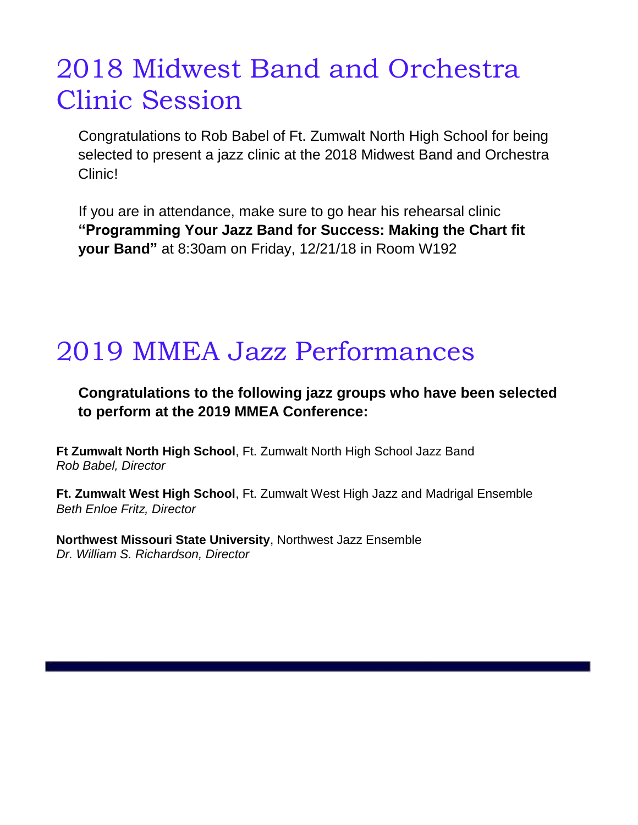# 2018 Midwest Band and Orchestra Clinic Session

Congratulations to Rob Babel of Ft. Zumwalt North High School for being selected to present a jazz clinic at the 2018 Midwest Band and Orchestra Clinic!

If you are in attendance, make sure to go hear his rehearsal clinic **"Programming Your Jazz Band for Success: Making the Chart fit your Band"** at 8:30am on Friday, 12/21/18 in Room W192

### 2019 MMEA Jazz Performances

### **Congratulations to the following jazz groups who have been selected to perform at the 2019 MMEA Conference:**

**Ft Zumwalt North High School**, Ft. Zumwalt North High School Jazz Band *Rob Babel, Director* 

**Ft. Zumwalt West High School**, Ft. Zumwalt West High Jazz and Madrigal Ensemble *Beth Enloe Fritz, Director*

**Northwest Missouri State University**, Northwest Jazz Ensemble *Dr. William S. Richardson, Director*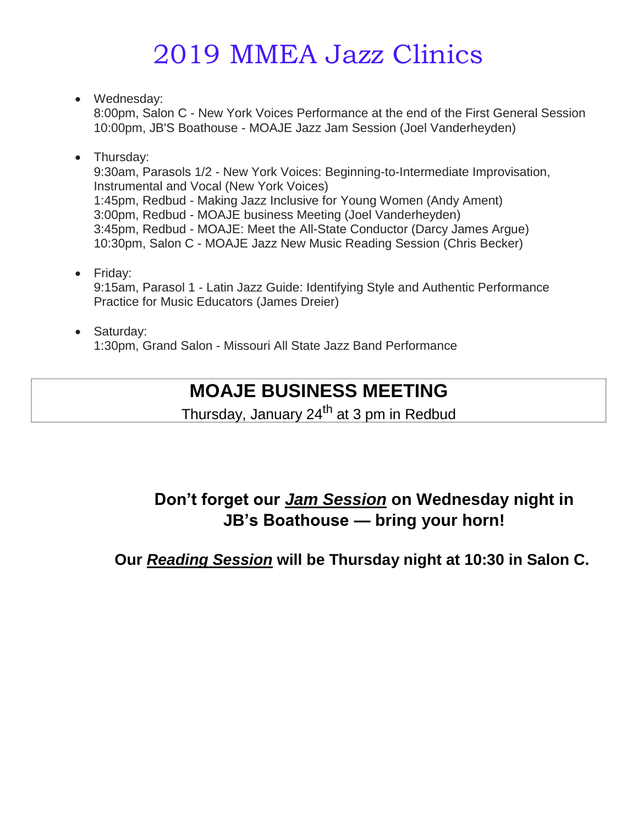# 2019 MMEA Jazz Clinics

• Wednesday:

8:00pm, Salon C - New York Voices Performance at the end of the First General Session 10:00pm, JB'S Boathouse - MOAJE Jazz Jam Session (Joel Vanderheyden)

- Thursday: 9:30am, Parasols 1/2 - New York Voices: Beginning-to-Intermediate Improvisation, Instrumental and Vocal (New York Voices) 1:45pm, Redbud - Making Jazz Inclusive for Young Women (Andy Ament) 3:00pm, Redbud - MOAJE business Meeting (Joel Vanderheyden) 3:45pm, Redbud - MOAJE: Meet the All-State Conductor (Darcy James Argue) 10:30pm, Salon C - MOAJE Jazz New Music Reading Session (Chris Becker)
- Friday: 9:15am, Parasol 1 - Latin Jazz Guide: Identifying Style and Authentic Performance Practice for Music Educators (James Dreier)

#### • Saturday: 1:30pm, Grand Salon - Missouri All State Jazz Band Performance

### **MOAJE BUSINESS MEETING**

Thursday, January 24<sup>th</sup> at 3 pm in Redbud

### **Don't forget our** *Jam Session* **on Wednesday night in JB's Boathouse — bring your horn!**

**Our** *Reading Session* **will be Thursday night at 10:30 in Salon C.**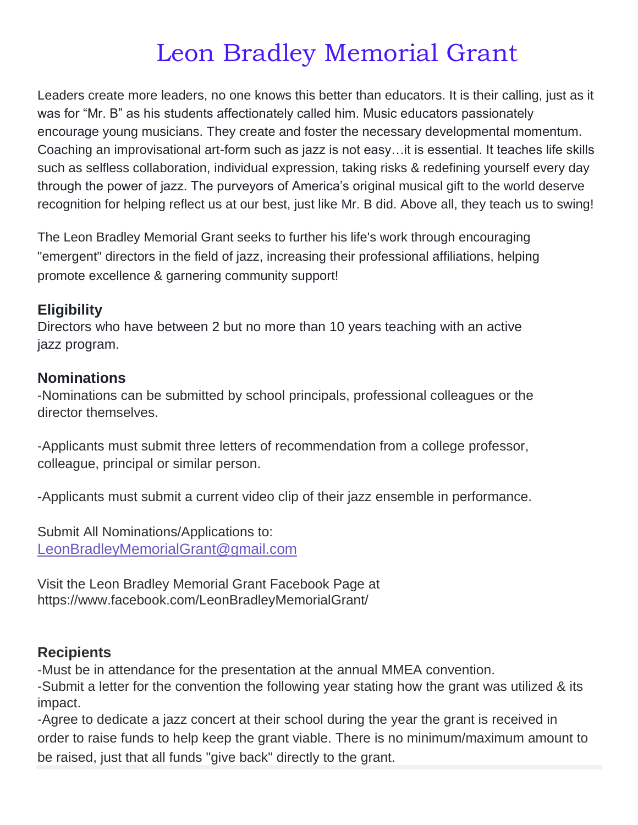## Leon Bradley Memorial Grant

Leaders create more leaders, no one knows this better than educators. It is their calling, just as it was for "Mr. B" as his students affectionately called him. Music educators passionately encourage young musicians. They create and foster the necessary developmental momentum. Coaching an improvisational art-form such as jazz is not easy…it is essential. It teaches life skills such as selfless collaboration, individual expression, taking risks & redefining yourself every day through the power of jazz. The purveyors of America's original musical gift to the world deserve recognition for helping reflect us at our best, just like Mr. B did. Above all, they teach us to swing!

The Leon Bradley Memorial Grant seeks to further his life's work through encouraging "emergent" directors in the field of jazz, increasing their professional affiliations, helping promote excellence & garnering community support!

#### **Eligibility**

Directors who have between 2 but no more than 10 years teaching with an active jazz program.

#### **Nominations**

-Nominations can be submitted by school principals, professional colleagues or the director themselves.

-Applicants must submit three letters of recommendation from a college professor, colleague, principal or similar person.

-Applicants must submit a current video clip of their jazz ensemble in performance.

Submit All Nominations/Applications to: LeonBradleyMemorialGrant@gmail.com

Visit the Leon Bradley Memorial Grant Facebook Page at https://www.facebook.com/LeonBradleyMemorialGrant/

#### **Recipients**

-Must be in attendance for the presentation at the annual MMEA convention.

-Submit a letter for the convention the following year stating how the grant was utilized & its impact.

-Agree to dedicate a jazz concert at their school during the year the grant is received in order to raise funds to help keep the grant viable. There is no minimum/maximum amount to be raised, just that all funds "give back" directly to the grant.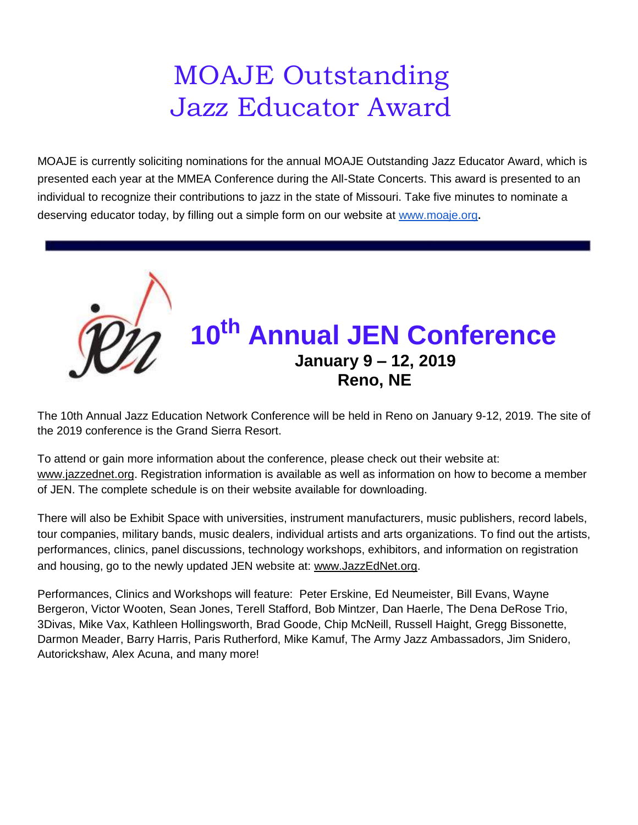# MOAJE Outstanding Jazz Educator Award

MOAJE is currently soliciting nominations for the annual MOAJE Outstanding Jazz Educator Award, which is presented each year at the MMEA Conference during the All-State Concerts. This award is presented to an individual to recognize their contributions to jazz in the state of Missouri. Take five minutes to nominate a deserving educator today, by filling out a simple form on our website at www.moaje.org**.**



The 10th Annual Jazz Education Network Conference will be held in Reno on January 9-12, 2019. The site of the 2019 conference is the Grand Sierra Resort.

To attend or gain more information about the conference, please check out their website at: www.jazzednet.org. Registration information is available as well as information on how to become a member of JEN. The complete schedule is on their website available for downloading.

There will also be Exhibit Space with universities, instrument manufacturers, music publishers, record labels, tour companies, military bands, music dealers, individual artists and arts organizations. To find out the artists, performances, clinics, panel discussions, technology workshops, exhibitors, and information on registration and housing, go to the newly updated JEN website at: www.JazzEdNet.org.

Performances, Clinics and Workshops will feature: Peter Erskine, Ed Neumeister, Bill Evans, Wayne Bergeron, Victor Wooten, Sean Jones, Terell Stafford, Bob Mintzer, Dan Haerle, The Dena DeRose Trio, 3Divas, Mike Vax, Kathleen Hollingsworth, Brad Goode, Chip McNeill, Russell Haight, Gregg Bissonette, Darmon Meader, Barry Harris, Paris Rutherford, Mike Kamuf, The Army Jazz Ambassadors, Jim Snidero, Autorickshaw, Alex Acuna, and many more!